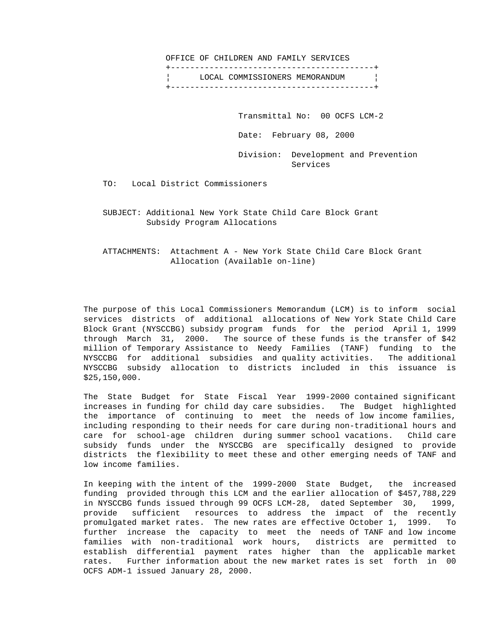OFFICE OF CHILDREN AND FAMILY SERVICES +------------------------------------------+ LOCAL COMMISSIONERS MEMORANDUM | +------------------------------------------+

Transmittal No: 00 OCFS LCM-2

Date: February 08, 2000

 Division: Development and Prevention Services

TO: Local District Commissioners

 SUBJECT: Additional New York State Child Care Block Grant Subsidy Program Allocations

 ATTACHMENTS: Attachment A - New York State Child Care Block Grant Allocation (Available on-line)

 The purpose of this Local Commissioners Memorandum (LCM) is to inform social services districts of additional allocations of New York State Child Care Block Grant (NYSCCBG) subsidy program funds for the period April 1, 1999 through March 31, 2000. The source of these funds is the transfer of \$42 million of Temporary Assistance to Needy Families (TANF) funding to the NYSCCBG for additional subsidies and quality activities. The additional NYSCCBG subsidy allocation to districts included in this issuance is \$25,150,000.

 The State Budget for State Fiscal Year 1999-2000 contained significant increases in funding for child day care subsidies. The Budget highlighted the importance of continuing to meet the needs of low income families, including responding to their needs for care during non-traditional hours and care for school-age children during summer school vacations. Child care subsidy funds under the NYSCCBG are specifically designed to provide districts the flexibility to meet these and other emerging needs of TANF and low income families.

 In keeping with the intent of the 1999-2000 State Budget, the increased funding provided through this LCM and the earlier allocation of \$457,788,229 in NYSCCBG funds issued through 99 OCFS LCM-28, dated September 30, 1999, provide sufficient resources to address the impact of the recently promulgated market rates. The new rates are effective October 1, 1999. To further increase the capacity to meet the needs of TANF and low income families with non-traditional work hours, districts are permitted to establish differential payment rates higher than the applicable market rates. Further information about the new market rates is set forth in 00 OCFS ADM-1 issued January 28, 2000.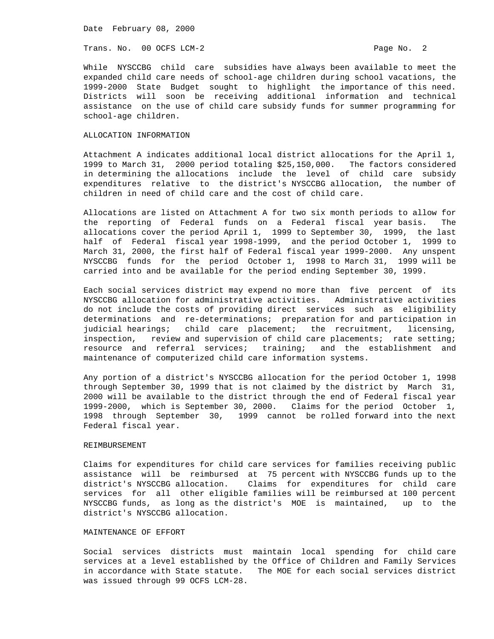Date February 08, 2000

Trans. No. 00 OCFS LCM-2 **Page No. 2** Page No. 2

 While NYSCCBG child care subsidies have always been available to meet the expanded child care needs of school-age children during school vacations, the 1999-2000 State Budget sought to highlight the importance of this need. Districts will soon be receiving additional information and technical assistance on the use of child care subsidy funds for summer programming for school-age children.

# ALLOCATION INFORMATION

 Attachment A indicates additional local district allocations for the April 1, 1999 to March 31, 2000 period totaling \$25,150,000. The factors considered in determining the allocations include the level of child care subsidy expenditures relative to the district's NYSCCBG allocation, the number of children in need of child care and the cost of child care.

 Allocations are listed on Attachment A for two six month periods to allow for the reporting of Federal funds on a Federal fiscal year basis. The allocations cover the period April 1, 1999 to September 30, 1999, the last half of Federal fiscal year 1998-1999, and the period October 1, 1999 to March 31, 2000, the first half of Federal fiscal year 1999-2000. Any unspent NYSCCBG funds for the period October 1, 1998 to March 31, 1999 will be carried into and be available for the period ending September 30, 1999.

 Each social services district may expend no more than five percent of its NYSCCBG allocation for administrative activities. Administrative activities do not include the costs of providing direct services such as eligibility determinations and re-determinations; preparation for and participation in judicial hearings; child care placement; the recruitment, licensing, inspection, review and supervision of child care placements; rate setting; resource and referral services; training; and the establishment and maintenance of computerized child care information systems.

 Any portion of a district's NYSCCBG allocation for the period October 1, 1998 through September 30, 1999 that is not claimed by the district by March 31, 2000 will be available to the district through the end of Federal fiscal year 1999-2000, which is September 30, 2000. Claims for the period October 1, 1998 through September 30, 1999 cannot be rolled forward into the next Federal fiscal year.

### REIMBURSEMENT

 Claims for expenditures for child care services for families receiving public assistance will be reimbursed at 75 percent with NYSCCBG funds up to the district's NYSCCBG allocation. Claims for expenditures for child care services for all other eligible families will be reimbursed at 100 percent NYSCCBG funds, as long as the district's MOE is maintained, up to the district's NYSCCBG allocation.

#### MAINTENANCE OF EFFORT

 Social services districts must maintain local spending for child care services at a level established by the Office of Children and Family Services in accordance with State statute. The MOE for each social services district was issued through 99 OCFS LCM-28.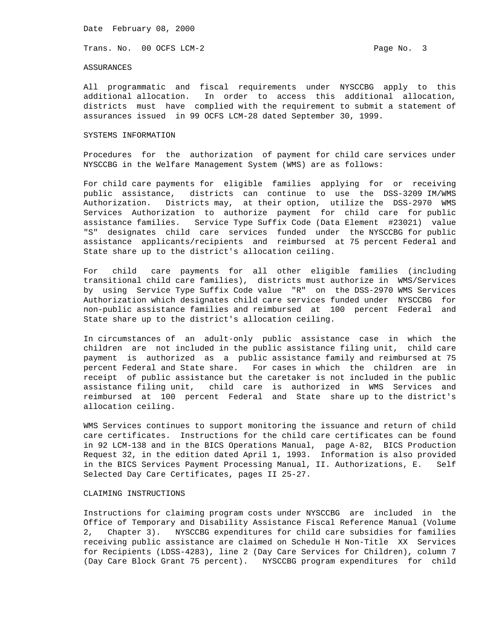Date February 08, 2000

Trans. No. 00 OCFS LCM-2 **Page No. 3** 

#### ASSURANCES

 All programmatic and fiscal requirements under NYSCCBG apply to this additional allocation. In order to access this additional allocation, districts must have complied with the requirement to submit a statement of assurances issued in 99 OCFS LCM-28 dated September 30, 1999.

### SYSTEMS INFORMATION

 Procedures for the authorization of payment for child care services under NYSCCBG in the Welfare Management System (WMS) are as follows:

 For child care payments for eligible families applying for or receiving public assistance, districts can continue to use the DSS-3209 IM/WMS Authorization. Districts may, at their option, utilize the DSS-2970 WMS Services Authorization to authorize payment for child care for public assistance families. Service Type Suffix Code (Data Element #23021) value "S" designates child care services funded under the NYSCCBG for public assistance applicants/recipients and reimbursed at 75 percent Federal and State share up to the district's allocation ceiling.

 For child care payments for all other eligible families (including transitional child care families), districts must authorize in WMS/Services by using Service Type Suffix Code value "R" on the DSS-2970 WMS Services Authorization which designates child care services funded under NYSCCBG for non-public assistance families and reimbursed at 100 percent Federal and State share up to the district's allocation ceiling.

 In circumstances of an adult-only public assistance case in which the children are not included in the public assistance filing unit, child care payment is authorized as a public assistance family and reimbursed at 75 percent Federal and State share. For cases in which the children are in receipt of public assistance but the caretaker is not included in the public assistance filing unit, child care is authorized in WMS Services and reimbursed at 100 percent Federal and State share up to the district's allocation ceiling.

 WMS Services continues to support monitoring the issuance and return of child care certificates. Instructions for the child care certificates can be found in 92 LCM-138 and in the BICS Operations Manual, page A-82, BICS Production Request 32, in the edition dated April 1, 1993. Information is also provided in the BICS Services Payment Processing Manual, II. Authorizations, E. Self Selected Day Care Certificates, pages II 25-27.

## CLAIMING INSTRUCTIONS

 Instructions for claiming program costs under NYSCCBG are included in the Office of Temporary and Disability Assistance Fiscal Reference Manual (Volume 2, Chapter 3). NYSCCBG expenditures for child care subsidies for families receiving public assistance are claimed on Schedule H Non-Title XX Services for Recipients (LDSS-4283), line 2 (Day Care Services for Children), column 7 (Day Care Block Grant 75 percent). NYSCCBG program expenditures for child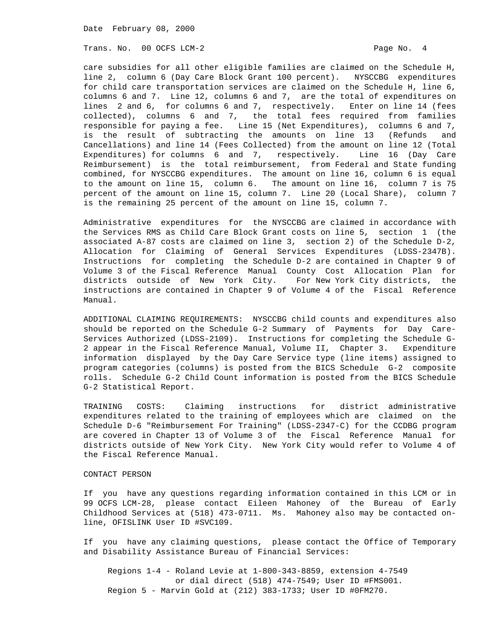Date February 08, 2000

Trans. No. 00 OCFS LCM-2 **Page No. 4** Page No. 4

 care subsidies for all other eligible families are claimed on the Schedule H, line 2, column 6 (Day Care Block Grant 100 percent). NYSCCBG expenditures for child care transportation services are claimed on the Schedule H, line 6, columns 6 and 7. Line 12, columns 6 and 7, are the total of expenditures on lines 2 and 6, for columns 6 and 7, respectively. Enter on line 14 (fees collected), columns 6 and 7, the total fees required from families responsible for paying a fee. Line 15 (Net Expenditures), columns 6 and 7, is the result of subtracting the amounts on line 13 (Refunds and Cancellations) and line 14 (Fees Collected) from the amount on line 12 (Total Expenditures) for columns 6 and 7, respectively. Line 16 (Day Care Reimbursement) is the total reimbursement, from Federal and State funding combined, for NYSCCBG expenditures. The amount on line 16, column 6 is equal to the amount on line 15, column 6. The amount on line 16, column 7 is 75 percent of the amount on line 15, column 7. Line 20 (Local Share), column 7 is the remaining 25 percent of the amount on line 15, column 7.

 Administrative expenditures for the NYSCCBG are claimed in accordance with the Services RMS as Child Care Block Grant costs on line 5, section 1 (the associated A-87 costs are claimed on line 3, section 2) of the Schedule D-2, Allocation for Claiming of General Services Expenditures (LDSS-2347B). Instructions for completing the Schedule D-2 are contained in Chapter 9 of Volume 3 of the Fiscal Reference Manual County Cost Allocation Plan for districts outside of New York City. For New York City districts, the instructions are contained in Chapter 9 of Volume 4 of the Fiscal Reference Manual.

 ADDITIONAL CLAIMING REQUIREMENTS: NYSCCBG child counts and expenditures also should be reported on the Schedule G-2 Summary of Payments for Day Care- Services Authorized (LDSS-2109). Instructions for completing the Schedule G- 2 appear in the Fiscal Reference Manual, Volume II, Chapter 3. Expenditure information displayed by the Day Care Service type (line items) assigned to program categories (columns) is posted from the BICS Schedule G-2 composite rolls. Schedule G-2 Child Count information is posted from the BICS Schedule G-2 Statistical Report.

 TRAINING COSTS: Claiming instructions for district administrative expenditures related to the training of employees which are claimed on the Schedule D-6 "Reimbursement For Training" (LDSS-2347-C) for the CCDBG program are covered in Chapter 13 of Volume 3 of the Fiscal Reference Manual for districts outside of New York City. New York City would refer to Volume 4 of the Fiscal Reference Manual.

### CONTACT PERSON

 If you have any questions regarding information contained in this LCM or in 99 OCFS LCM-28, please contact Eileen Mahoney of the Bureau of Early Childhood Services at (518) 473-0711. Ms. Mahoney also may be contacted on line, OFISLINK User ID #SVC109.

 If you have any claiming questions, please contact the Office of Temporary and Disability Assistance Bureau of Financial Services:

 Regions 1-4 - Roland Levie at 1-800-343-8859, extension 4-7549 or dial direct (518) 474-7549; User ID #FMS001. Region 5 - Marvin Gold at (212) 383-1733; User ID #0FM270.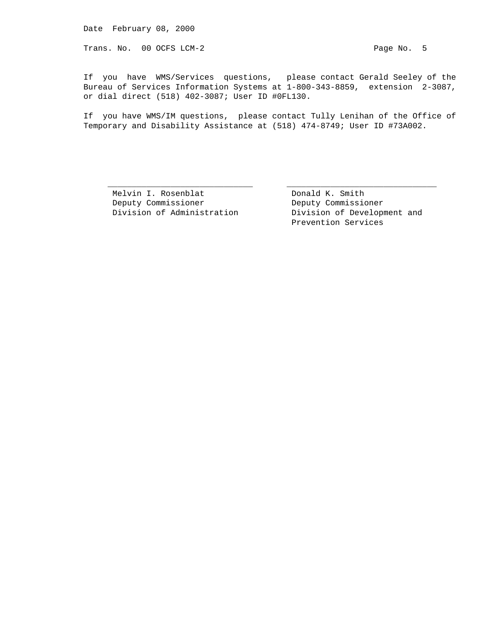Trans. No. 00 OCFS LCM-2 **Page No. 5** 

 If you have WMS/Services questions, please contact Gerald Seeley of the Bureau of Services Information Systems at 1-800-343-8859, extension 2-3087, or dial direct (518) 402-3087; User ID #0FL130.

 If you have WMS/IM questions, please contact Tully Lenihan of the Office of Temporary and Disability Assistance at (518) 474-8749; User ID #73A002.

\_\_\_\_\_\_\_\_\_\_\_\_\_\_\_\_\_\_\_\_\_\_\_\_\_\_\_\_\_\_ \_\_\_\_\_\_\_\_\_\_\_\_\_\_\_\_\_\_\_\_\_\_\_\_\_\_\_\_\_\_\_

Melvin I. Rosenblat Changel Bonald K. Smith Deputy Commissioner Deputy Commissioner

Division of Administration **Division** of Development and Prevention Services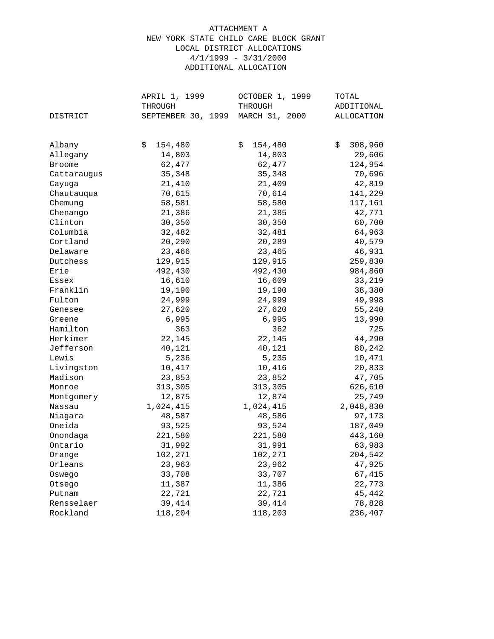# ATTACHMENT A NEW YORK STATE CHILD CARE BLOCK GRANT LOCAL DISTRICT ALLOCATIONS 4/1/1999 - 3/31/2000 ADDITIONAL ALLOCATION

|               | APRIL 1, 1999      | OCTOBER 1, 1999 | TOTAL         |
|---------------|--------------------|-----------------|---------------|
|               | THROUGH            | THROUGH         | ADDITIONAL    |
| DISTRICT      | SEPTEMBER 30, 1999 | MARCH 31, 2000  | ALLOCATION    |
|               |                    |                 |               |
| Albany        | \$<br>154,480      | \$<br>154,480   | \$<br>308,960 |
| Allegany      | 14,803             | 14,803          | 29,606        |
| <b>Broome</b> | 62,477             | 62,477          | 124,954       |
|               | 35,348             | 35,348          | 70,696        |
| Cattaraugus   | 21,410             |                 |               |
| Cayuga        |                    | 21,409          | 42,819        |
| Chautauqua    | 70,615             | 70,614          | 141,229       |
| Chemung       | 58,581             | 58,580          | 117,161       |
| Chenango      | 21,386             | 21,385          | 42,771        |
| Clinton       | 30,350             | 30,350          | 60,700        |
| Columbia      | 32,482             | 32,481          | 64,963        |
| Cortland      | 20,290             | 20,289          | 40,579        |
| Delaware      | 23,466             | 23,465          | 46,931        |
| Dutchess      | 129,915            | 129,915         | 259,830       |
| Erie          | 492,430            | 492,430         | 984,860       |
| Essex         | 16,610             | 16,609          | 33,219        |
| Franklin      | 19,190             | 19,190          | 38,380        |
| Fulton        | 24,999             | 24,999          | 49,998        |
| Genesee       | 27,620             | 27,620          | 55,240        |
| Greene        | 6,995              | 6,995           | 13,990        |
| Hamilton      | 363                | 362             | 725           |
| Herkimer      | 22,145             | 22,145          | 44,290        |
| Jefferson     | 40,121             | 40,121          | 80,242        |
| Lewis         | 5,236              | 5,235           | 10,471        |
| Livingston    | 10,417             | 10,416          | 20,833        |
| Madison       | 23,853             | 23,852          | 47,705        |
| Monroe        | 313,305            | 313,305         | 626,610       |
| Montgomery    | 12,875             | 12,874          | 25,749        |
| Nassau        | 1,024,415          | 1,024,415       | 2,048,830     |
| Niagara       | 48,587             | 48,586          | 97,173        |
| Oneida        | 93,525             | 93,524          | 187,049       |
| Onondaga      | 221,580            | 221,580         | 443,160       |
| Ontario       | 31,992             | 31,991          | 63,983        |
| Orange        | 102,271            | 102,271         | 204,542       |
| Orleans       | 23,963             | 23,962          | 47,925        |
| Oswego        | 33,708             | 33,707          | 67,415        |
| Otsego        | 11,387             | 11,386          | 22,773        |
| Putnam        | 22,721             | 22,721          | 45,442        |
| Rensselaer    | 39,414             | 39,414          | 78,828        |
| Rockland      | 118,204            | 118,203         | 236,407       |